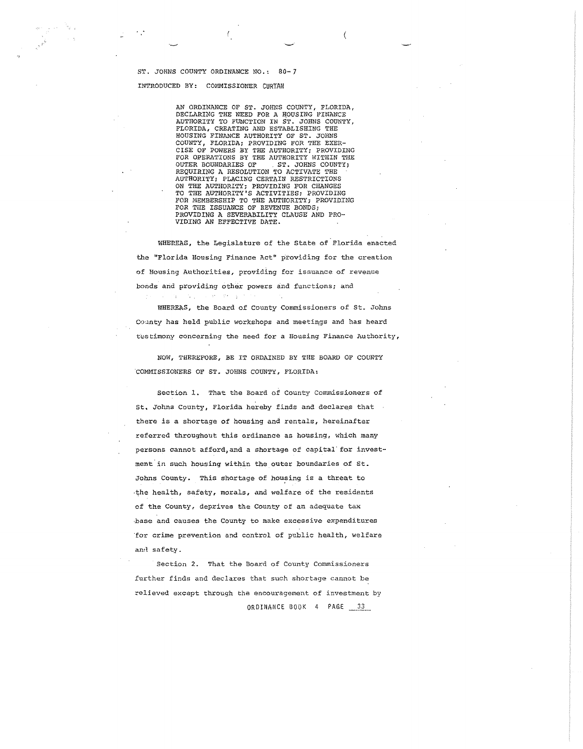#### ST. JOHNS COUNTY ORDINANCE NO.: 80-7 INTRODUCED BY: COMMISSIONER CURTAN

 $\sim$   $\sim$ 

AN ORDINANCE OF ST. Jomrs COUNTY, FLORIDA, DECLARING THE NEED FOR A HOUSING FINANCE AUTHORITY TO FUNCTION IN ST. JOHNS COUNTY, FLORIDA, CREATING AND ESTABLISHING THE HOUSING FINANCE AUTHORITY OF ST. JOHNS COUNTY, FLORIDA; PROVIDING FOR THE EXER-<br>CISE OF POWERS BY THE AUTHORITY; PROVIDING<br>FOR OPERATIONS BY THE AUTHORITY WITHIN THE OUTER BOUNDARIES OF ST. JOHNS COUNTY; REQUIRING A RESOLUTION TO ACTIVATE THE AUTHORITY; PLACING CERTAIN RESTRICTIONS ON THE AUTHORITY; PROVIDING FOR CHANGES TO THE AUTHORITY'S ACTIVITIES; PROVIDING FOR MEMBERSHIP TO THE AUTHORITY; PROVIDING FOR TilE ISSUANCE OF REVENUE BONDS; PROVIDING A SEVERABILITY CLAUSE AND PRO-VIDING AN EFFECTIVE DATE.

ľ

WHEREAS, the Legislature of the State of Florida enacted the "Florida Housing Finance Act" providing for the creation **of Housing Authorities, providing fer issuance of revenue**  bonds and providing other powers and functions; and  $\Delta \sim 5.1$  , and  $\Omega$  .

WHEREAS, the Board of county Conunissioners of St. Johns County has held public workshops and meetings and has heard testimony concerning the need for a Housing Finance Authority,

NOW, THEREFORE, BE IT ORDAINED BY THE BOARD OF COUNTY COMMISSIONERS OF ST. JOHNS COUNTY, FLORIDA:

Section 1. That the Board of County Commissioners of St, Johns County, Florida hereby finds and declares that there is a shortage of housing and rentals, hereinafter referred throughout this ordinance as housing, which many persons cannot afford, and a shortage of capital for investment in such housing within the outer boundaries of St. Johns County. This shortage of housing is a threat to -the health, safety, morals, and welfare of the residents **of the County, deprives the County of an adequate tax**  ·base and causes the County to make excessive expenditures ·for crime prevention and control of public health, welfare and safety.

Section 2. That the Board of County Commissioners further finds and declares that such shortage cannot be relieved except through the encouragement of investment by ORDINANCE BOOK 4 PAGE 33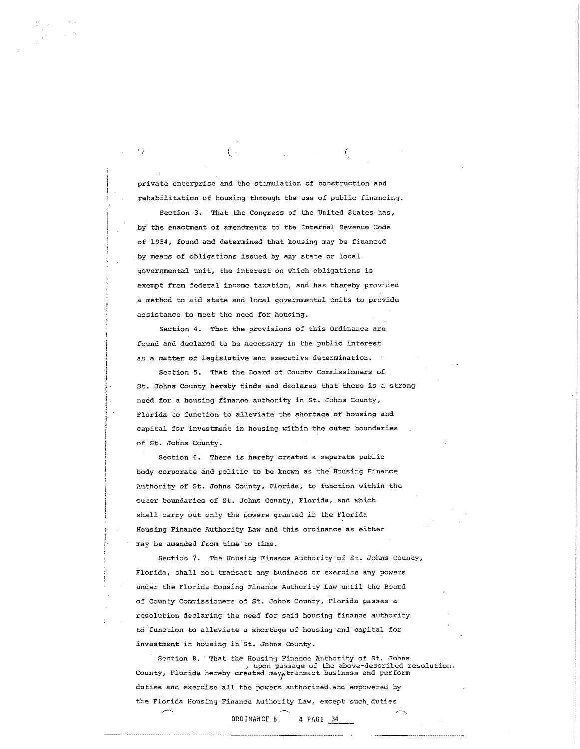private enterprise and the stimulation of construction and rehabilitation of housing through the use of public financing.

 $($  (  $)$  ) and  $($   $)$   $)$  and  $($   $)$   $)$   $)$   $($   $)$   $)$   $)$   $($   $)$   $)$   $)$   $($   $)$   $)$   $)$   $($   $)$   $)$   $)$   $($   $)$   $)$   $)$   $($   $)$   $)$   $)$   $($   $)$   $)$   $)$   $($   $)$   $)$   $)$   $($   $)$   $)$   $($   $)$   $)$   $($   $)$   $)$   $($   $)$ 

Section *3.* That the Congress of the United States has, by the enactment of amendments to the Internal Revenue Code of 1954, found and determined that housing may be financed by means of obligations issued by any state or local **governmental unit, the interest on which obligations is**  exempt from federal income taxation, and has thereby provided a method to aid state and local governmental units to provide assistance to meet the need for housing.

Section 4. That the provisions of this Ordinance are found and declared to be necessary in the public interest *a.s* a matter of legislative and executive determination.

Section 5. That the Board of County Commissioners of St. Johns County hereby finds and declares that there is a strong need for a housing finance authority in St. Johns County, Florida to function to alleviate the shortage of housing and capital for investment in housing within the outer boundaries of St. Johns County.

Section 6. There is hereby created a separate public body corporate and politic to be known as the Housing Finance Authority of St. 'Johns County, Florida, to function within the outer boundaries of St. Johns County, Florida, and which shall carry out only the powers granted in the Florida Housing Finance Authority Law and this ordinance as either may be amended from time to time.

J.

Section 7. The Housing Finance Authority of St. Johns County, Florida, shall not transact any business or exercise any powers under the Florida Housing Finance Authority Law until the Board of County Commissioners of St. Johns County, Florida passes a resolution declaring the need for said housing finance authority to.function to alleviate a shortage of housing and capital for investment in housing in· st. Johns county.

Section 8. That the Housing Finance Authority of St. Johns<br>
, upon passage of the above-described resolution,<br>
County, Florida hereby created may<sub>p</sub>transact business and perform duties and exercise all the powers authorized.and empowered by the Florida Housing Finance Authority Law, except such duties

ORDINANCE B 4 PAGE 34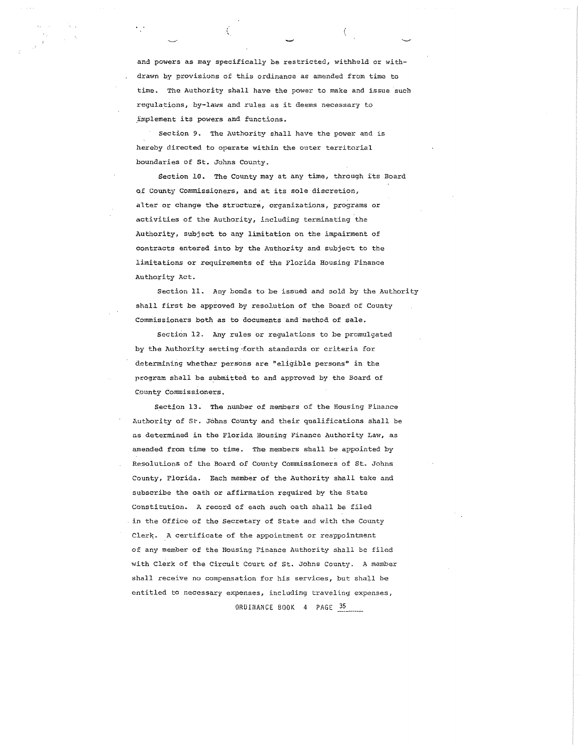and powers as may specifically be restricted, withheld or withdrawn by provisions of this ordinance as amended from time to time. The Authority shall have the power to make and issue such regulations, by-laws and rules as it deems necessary to \_i;:nplement its powers and functions.

 $\left($ 

Section 9. The Authority shall have the power and is hereby directed to operate within the outer territorial boundaries of St. Johns County.

ť

Section 10. The County may at any time, through its Board of County Commissioners, and at its sole discretion, alter or change the structure, organizations, programs or activities of the Authority, including terminating the Authority, subject to any limitation on the impairment of contracts entered into by the Authority and subject to the limitations or requirements of the Plorida Housing Finance Authority Act.

Section 11. Any bonds to be issued and sold by the Authority shall first be approved by resolution of the Board of County Commissioners both as to documents and method of sale.

Section 12. Any rules or regulations to be promulgated by the Authority setting forth standards or criteria for determining whether persons are "eligible persons" in the program shall be submitted to and approved by the Board of County Commissioners.

Section 13. The number of members of the Housing Finance Authority of St. Johns County and their qualifications shall be as determined in the Florida Housing Finance Authority Law, as amended from time to time. The members shall be appointed by Resolutions of the Board of County Commissioners of St. Johns County, Florida. Each member of the Authority shall take and subscribe the oath or affirmation required by the State **Constitutioti.. A record of each such oath shall be filed**  in the Office of the Secretary of State and with the County Clerk. A certificate of the appointment or reappointment of any member of the Housing Finance Authority shall be filed with Clerk of the Circuit Court of St. Johns County. A member shall receive no compensation for his services, but shall be entitled to necessary expenses, including traveling expenses,

ORDINANCE BOOK 4 PAGE 35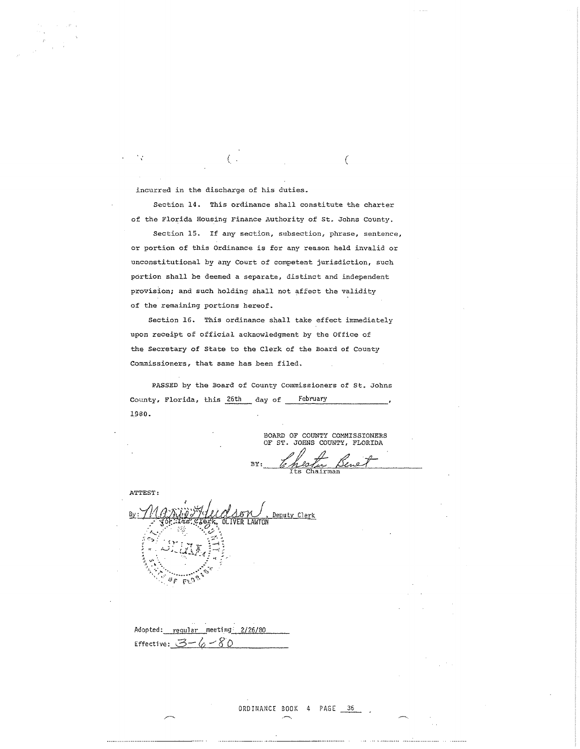incurred in the discharge of his duties.

 $\ddot{\phantom{0}}$ 

Section 14. This ordinance shall constitute the charter of the Florida Housing Finance Authority of St. Johns County.

(a) and the contract of  $\overline{C}$ 

Section 15. If any section, subsection, phrase, sentence, or portion of this Ordinance is for any reason held invalid or unconstitutional by any Court of competent jurisdiction, such portion shall be deemed a separate, distinct and independent provision; and such holding shall not affect the validity of the remaining portions hereof.

Section 16. This ordinance shall take effect immediately upon receipt of official acknowledgment by the Office of the Secretary of State to the Clerk of the Board of County Commissioners, that same has been filed.

PASSED by the Board of County Commissioners of St. Johns County, Florida, this 26th day of February 1980.

BOARD OF COUNTY COMMISSIONERS OF ST. JOHNS COUNTY, FLORIDA  $Br:$  Chester Benet airman

ATTEST: Deputy Clerk By:  $\sigma_{\cal F}$ ा है।

Adopted: regular meeting 2/26/80 Effective:  $3 - 6 - 80$ 

------------------------- ···----------------····------------------------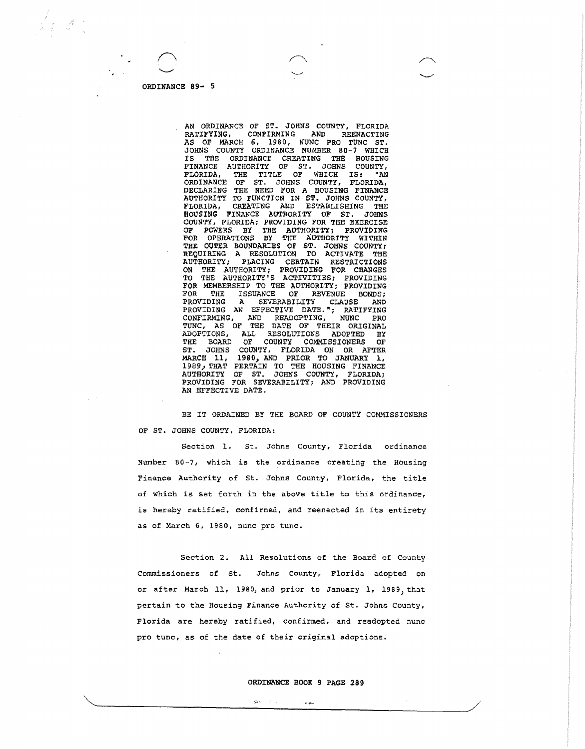AN ORDINANCE OF ST. JOHNS COUNTY, FLORIDA<br>RATIFYING, CONFIRMING AND REENACTING REENACTING AS OF MARCH 6, 1980, NUNC PRO TUNC ST. JOHNS COUNTY ORDINANCE NUMBER 80-7 WHICH IS THE ORDINANCE CREATING THE HOUSING FINANCE AUTHORITY OF ST. JOHNS COUNTY, FLORIDA, THE TITLE OF WHICH IS: "AN ORDINANCE OF ST. JOHNS COUNTY, FLORIDA, DECLARING THE REED FOR A HOUSING FINANCE AUTHORITY TO FUNCTION IN ST. JOHNS COUNTY,<br>FLORIDA, CREATING AND ESTABLISHING THE FLORIDA, CREATING AND ESTABLISHING THE HOUSING FINANCE AUTHORITY OF ST. JOHNS COUNTY, FLORIDA; PROVIDING FOR THE EXERCISE OF POWERS BY THE AUTHORITY; PROVIDING FOR OPERATIONS BY THE AUTHORITY WITHIN THE OUTER BOUNDARIES OF ST. JOHNS COUNTY; REQUIRING A RESOLUTION TO ACTIVATE THE AUTHORITY; PLACING CERTAIN RESTRICTIONS AUTHORITY; PLACING CERTAIN RESTRICTIONS ON THE AUTHORITY; PROVIDING FOR CHANGES TO THE AUTHORITY'S ACTIVITIES; PROVIDING FOR MEMBERSHIP TO THE AUTHORITY; PROVIDING<br>FOR THE ISSUANCE OF REVENUE BONDS; FOR THE ISSUANCE OF REVENUE BONDS; PROVIDING A SEVERABILITY CLAUSE AND PROVIDING AN EFFECTIVE DATE."; RATIFYING CONFIRMING, AND READOPTING, NUNC PRO TUNC, AS OF THE DATE OF THEIR ORIGINAL ADOPTIONS, ALL RESOLUTIONS ADOPTED BY THE BOARD OF COUNTY COMMISSIONERS OF THE BOARD OF COUNTY COMMISSIONERS<br>ST. JOHNS COUNTY, FLORIDA ON OR A JOHNS COUNTY, FLORIDA ON OR AFTER MARCH 11, 1980, AND PRIOR TO JANUARY 1, 1989, THAT PERTAIN TO THE HOUSING FINANCE AUTHORITY OF ST. JOHNS COUNTY, FLORIDA; PROVIDING FOR SEVERABILITY; AND PROVIDING AN EFFECTIVE DATE.

BE IT ORDAINED BY THE BOARD OF COUNTY COMMISSIONERS OF ST. JOHNS COUNTY, FLORIDA:

Section 1. St. Johns County, Florida ordinance Number 80-7, which is the ordinance creating the Housing Finance Authority of St. Johns County, Florida, the title of which is set forth in the above title to this ordinance, is hereby ratified, confirmed, and reenacted in its entirety as of March 6, 1980, nunc pro tune.

Section 2. All Resolutions of the Board of County Commissioners of St. Johns County, Florida adopted on or after March 11, 1980, and prior to January l, 1989, that pertain to the Housing Finance Authority of St. Johns County, Florida are hereby ratified, confirmed, and readopted nunc pro tune, as of the date of their original adoptions.

 $\mathcal{L}_{\text{QNN}} = 10^{10}$  km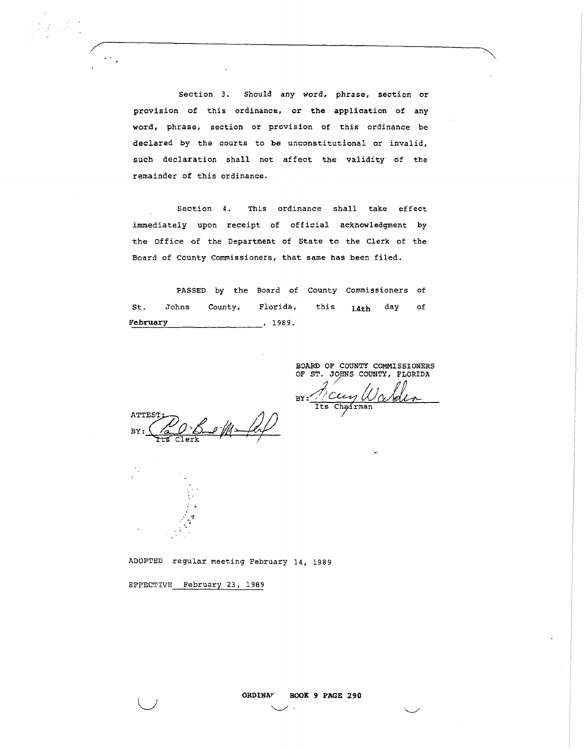Section *3.* Should any word, phrase, section or provision of this ordinance, or the application of any word, phrase, section or provision of this ordinance be declared by the courts to be unconstitutional or invalid, such declaration shall not affect the validity of the remainder of this ordinance.

Section 4. This ordinance shall take effect immediately upon receipt of official acknowledgment by the Office of the Department of State to the Clerk of the Board of county Commissioners, that same has been filed.

PASSED by the Board of County Commissioners of St. Johns County, Florida, this 14th day of February 1989.

> BOARD OF COUNTY COMMISSIONERS OF ST. JOHNS COUNTY, FLORIDA

'·

 $BY: \frac{\text{Cov}_y}{\text{Its Chapman}}$ 

ATTES? BY

 $\ddot{ }$  : *: ·t* . -, '·

 $\mathbf{I}$  $\bigcup$ 

ADOPTED regular meeting February 14, 1989

EFFECTIVE February 23, 1989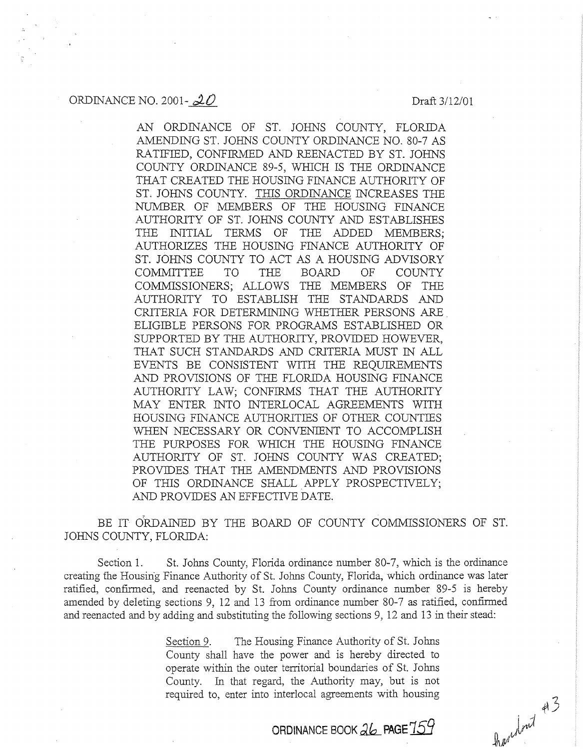#### ORDINANCE NO. 2001- $\mathcal{2}0$  Draft 3/12/01

AN ORDINANCE OF ST. JOHNS COUNTY, FLORIDA AMENDING ST. JOHNS COUNTY ORDINANCE NO. 80-7 AS RATIFIED, CONFIRMED AND REENACTED BY ST. JOHNS COUNTY ORDINANCE 89-5, WHICH IS THE ORDINANCE THAT CREATED THE HOUSING FINANCE AUTHORITY OF ST. JOHNS COUNTY. THIS ORDINANCE INCREASES THE NUMBER OF MEMBERS OF THE HOUSING FINANCE AUTHORJTY OF ST. JOHNS COUNTY AND ESTABLISHES THE INITIAL TERMS OF THE ADDED MEMBERS; AUTHORIZES THE HOUSING FINANCE AUTHORITY OF ST. JOHNS COUNTY TO ACT AS A HOUSING ADVISORY COMMITTEE TO THE BOARD OF COUNTY COMMISSIONERS; ALLOWS THE MEMBERS OF THE AUTHORITY TO ESTABLISH THE STANDARDS AND CRITERIA FOR DETERMINING WHETHER PERSONS ARE ELIGIBLE PERSONS FOR PROGRAMS ESTABLISHED OR SUPPORTED BY THE AUTHORITY, PROVIDED HOWEVER, THAT SUCH STANDARDS AND CRITERIA MUST IN ALL EVENTS BE CONSISTENT WITH THE REQUIREMENTS AND PROV1SIONS OF THE FLORIDA HOUSING FINANCE AUTHORITY LAW; CONFIRMS THAT THE AUTHORITY MAY ENTER INTO INTERLOCAL AGREEMENTS WITH HOUSING FINANCE AUTHORITIES OF OTHER COUNTIES WHEN NECESSARY OR CONVENIENT TO ACCOMPLISH THE PURPOSES FOR WHICH THE HOUSING FINANCE AUTHORITY OF ST. JOHNS COUNTY WAS CREATED; PROVIDES THAT THE AMENDMENTS AND PROVISIONS OF THIS ORDINANCE SHALL APPLY PROSPECTIVELY; AND PROVIDES AN EFFECTNE DATE.

BE IT ORDAINED BY THE BOARD OF COUNTY COMMISSIONERS OF ST. JOHNS COUNTY, FLORIDA:

Section 1. St. Johns County, Florida ordinance number 80-7, which is the ordinance creating the Housing Finance Authority of St. Johns County, Florida, which ordinance was later ratified, confirmed, and reenacted by St. Johns County ordinance number 89-5 is hereby amended by deleting sections 9, 12 and 13 from ordinance number 80-7 as ratified, confirmed and reenacted and by adding and substituting the following sections 9, 12 and 13 in their stead:

> Section 9. The Housing Finance Authority of St. Johns County shall have the power and is hereby directed to operate within the outer territorial boundaries of St. Johns County. In that regard, the Authority may, but is not required to, enter into interlocal agreements with housing

> > **ORDINANCE BOOK db\_\_ PAGE** *153*

Aportonit #3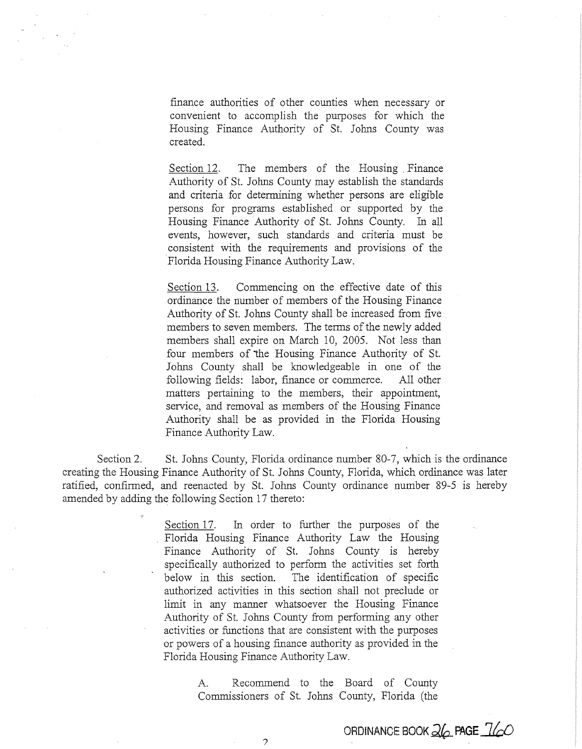finance authorities of other counties when necessary or convenient to accomplish the purposes for which the Housing Finance Authority of St. Johns County was created.

Section 12. The members of the Housing Finance Authority of St. Johns County may establish the standards and criteria for determining whether persons are eligible persons for programs established or supported by the Housing Finance Authority of St. Johns County. In all events, however, such standards and criteria must be consistent with the requirements and provisions of the Florida Housing Finance Authority Law.

Section 13. Commencing on the effective date of this ordinance the number of members of the Housing Finance Authority of St. Johns County shall be increased from five members to seven members. The terms of the newly added members shall expire on March 10, 2005. Not less than four members of the Housing Finance Authority of St. Johns County shall be knowledgeable in one of the following fields: labor, finance or commerce. All other matters pertaining to the members, their appointment, service, and removal as members of the Housing Finance Authority shail be as provided in the Florida Housing Finance Authority Law.

Section 2. St. Johns County, Florida ordinance number 80-7, which is the ordinance creating the Housing Finance Authority of St. Johns County, Florida, which ordinance was later ratified, confirmed, and reenacted by St. Johns County ordinance number 89-5 is hereby amended by adding the following Section 17 thereto:

> Section 17. In order to further the purposes of the Florida Housing Finance Authority Law the Housing Finance Authority of St. Johns County is hereby specifically authorized to perform the activities set forth below in this section. The identification of specific authorized activities in this section shall not preclude or limit in any manner whatsoever the Housing Finance Authority of St. Johns County from performing any other activities or functions that are consistent with the purposes or powers of a housing finance authority as provided in the Florida Housing Finance Authority Law.

> > A. Recommend to the Board of County Commissioners of St. Johns County, Florida (the

> > > $\mathcal{P}$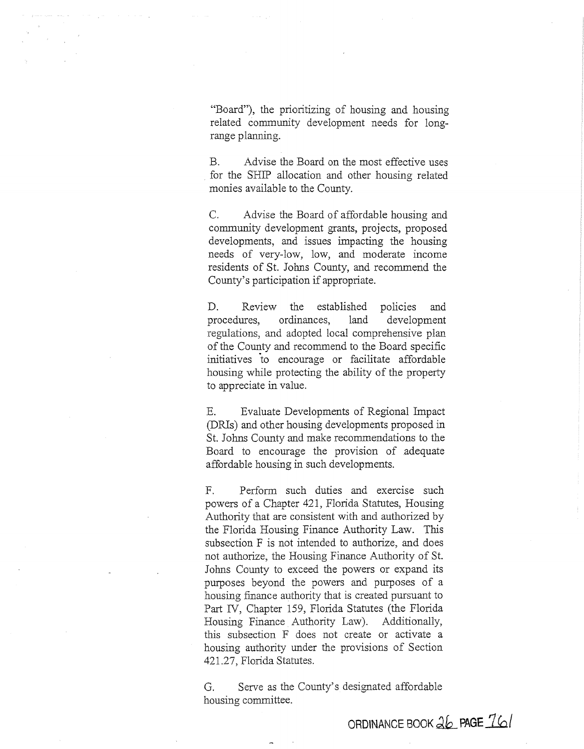"Board"), the prioritizing of housing and housing related community development needs for longrange planning.

B. Advise the Board on the most effective uses for the SHIP allocation and other housing related monies available to the County.

C. Advise the Board of affordable housing and community development grants, projects, proposed developments, and issues impacting the housing needs of very-low, low, and moderate income residents of St. Johns County, and recommend the County's participation if appropriate.

D. Review the established policies and procedures, ordinances, land development regulations, and adopted local comprehensive plan of the County and recommend to the Board specific initiatives to encourage or facilitate affordable housing while protecting the ability of the property to appreciate in value.

E. Evaluate Developments of Regional Impact (DRis) and other housing developments proposed in St. Johns County and make recommendations to the Board to encourage the provision of adequate affordable housing in such developments.

F. Perform such duties and exercise such powers of a Chapter 421, Florida Statutes, Housing Authority that are consistent with and authorized by the Florida Housing Finance Authority Law. This subsection F is not intended to authorize, and does not authorize, the Housing Finance Authority of St. Johns County to exceed the powers or expand its purposes beyond the powers and purposes of a housing finance authority that is created pursuant to Part IV, Chapter 159, Florida Statutes (the Florida Housing Finance Authority Law). Additionally, this subsection F does not create or activate a housing authority under the provisions of Section 421.27, Florida Statutes.

G. Serve as the County's designated affordable housing committee.

ORDINANCE BOOK  $26$  **PAGE**  $76/$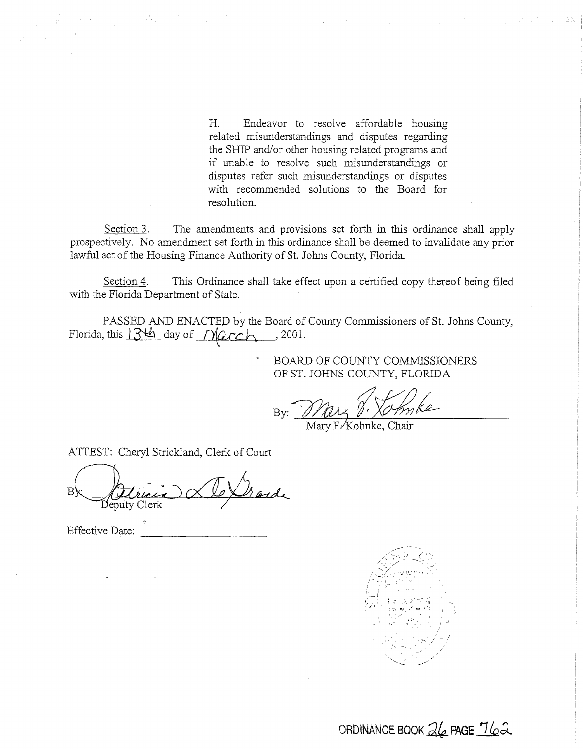H. Endeavor to resolve affordable housing related misunderstandings and disputes regarding the SHIP and/or other housing related programs and if unable to resolve such misunderstandings or disputes refer such misunderstandings or disputes with recommended solutions to the Board for resolution.

Section 3. The amendments and provisions set forth in this ordinance shall apply prospectively. No amendment set forth in this ordinance shall be deemed to invalidate any prior lawful act of the Housing Finance Authority of St. Johns County, Florida.

Section 4. This Ordinance shall take effect upon a certified copy thereof being filed with the Florida Department of State.

PASSED AND ENACTED by the Board of County Commissioners of St. Johns County, Florida, this  $13\frac{14}{10}$  day of  $M/2c$  h. , 2001.

> BOARD OF COUNTY COMMISSIONERS OF ST. JOHNS COUNTY, FLORIDA

By: May y: May V. Xomke

ATTEST: Cheryl Strickland, Clerk of Court

Br Atricia AleXharde

Effective Date:



ORDINANCE BOOK  $\overline{3}6$  PAGE  $\overline{16}2$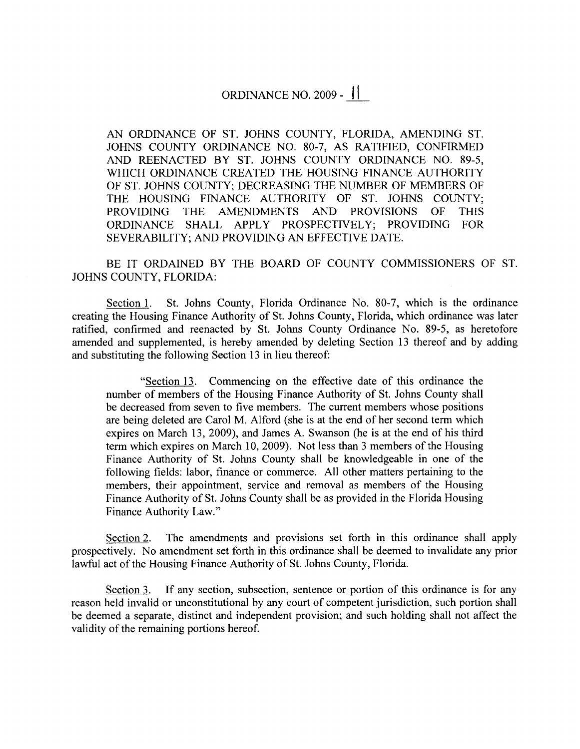## ORDINANCE NO. 2009 - <sup>11</sup>

AN ORDINANCE OF ST. JOHNS COUNTY, FLORIDA, AMENDING ST. JOHNS COUNTY ORDINANCE NO. 80-7, AS RATIFIED, CONFIRMED AND REENACTED BY ST. JOHNS COUNTY ORDINANCE NO. 89-5, WHICH ORDINANCE CREATED THE HOUSING FINANCE AUTHORITY OF ST. JOHNS COUNTY; DECREASING THE NUMBER OF MEMBERS OF THE HOUSING FINANCE AUTHORITY OF ST. JOHNS COUNTY; PROVIDING THE AMENDMENTS AND PROVISIONS OF THIS ORDINANCE SHALL APPLY PROSPECTIVELY; PROVIDING FOR SEVERABILITY; AND PROVIDING AN EFFECTIVE DATE.

BE IT ORDAINED BY THE BOARD OF COUNTY COMMISSIONERS OF ST. JOHNS COUNTY, FLORIDA:

Section 1. St. Johns County, Florida Ordinance No. 80-7, which is the ordinance creating the Housing Finance Authority of St. Johns County, Florida, which ordinance was later ratified, confirmed and reenacted by St. Johns County Ordinance No. 89-5, as heretofore amended and supplemented, is hereby amended by deleting Section 13 thereof and by adding and substituting the following Section 13 in lieu thereof:

"Section 13. Commencing on the effective date of this ordinance the number of members of the Housing Finance Authority of St. Johns County shall be decreased from seven to five members. The current members whose positions are being deleted are Carol M. Alford (she is at the end of her second term which expires on March 13, 2009), and James A. Swanson (he is at the end of his third term which expires on March 10, 2009). Not less than 3 members of the Housing Finance Authority of St. Johns County shall be knowledgeable in one of the following fields: labor, finance or commerce. All other matters pertaining to the members, their appointment, service and removal as members of the Housing Finance Authority of St. Johns County shall be as provided in the Florida Housing Finance Authority Law."

Section 2. The amendments and provisions set forth in this ordinance shall apply prospectively. No amendment set forth in this ordinance shall be deemed to invalidate any prior lawful act of the Housing Finance Authority of St. Johns County, Florida.

Section 3. If any section, subsection, sentence or portion of this ordinance is for any reason held invalid or unconstitutional by any court of competent jurisdiction, such portion shall be deemed a separate, distinct and independent provision; and such holding shall not affect the validity of the remaining portions hereof.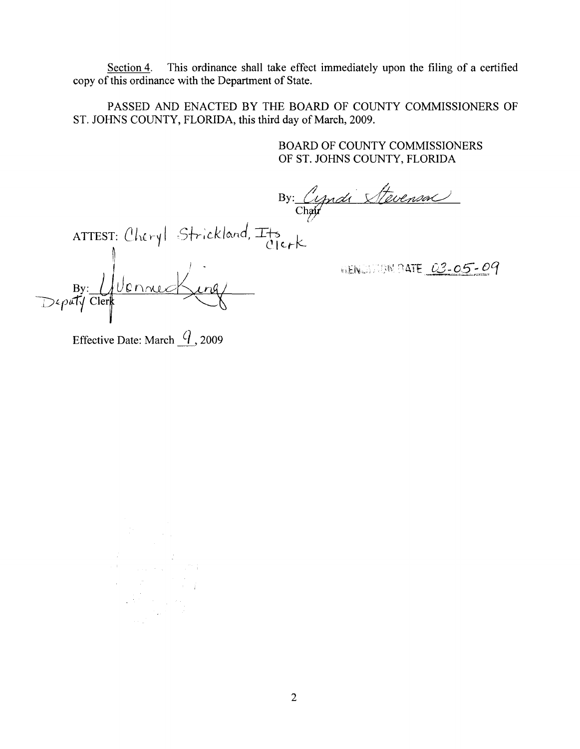Section 4. This ordinance shall take effect immediately upon the filing of a certified copy of this ordinance with the Department of State.

PASSED AND ENACTED BY THE BOARD OF COUNTY COMMISSIONERS OF ST. JOHNS COUNTY, FLORIDA, this third day of March, 2009.

 $C$ ler $\ltimes$ 

BOARD OF COUNTY COMMISSIONERS OF ST. JOHNS COUNTY, FLORIDA

By: Cyndi Stevenson

*s+r:ck/c-..nd,* I+s I/ '/ I  $lnq/$ <u>lennec</u>  $\overline{B}y$ 

HEN WIND DATE 03-05-09

Effective Date: March  $\frac{q}{q}$ , 2009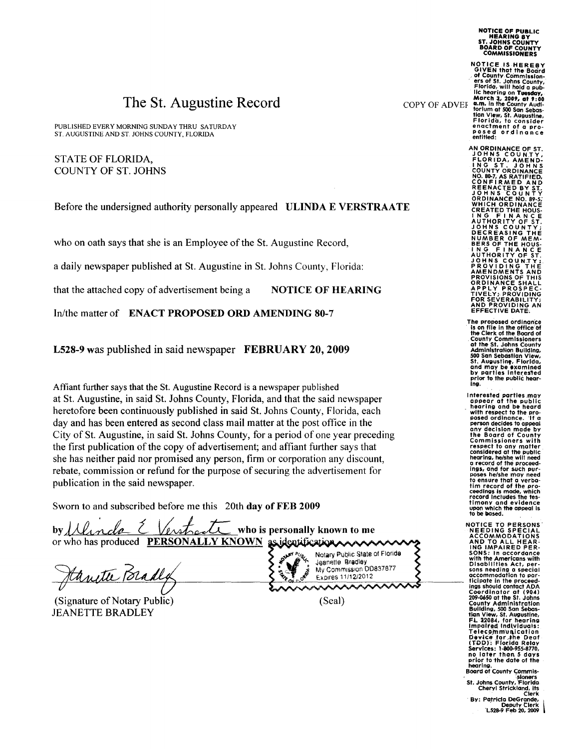# The St. Augustine Record

PUBLISHED EVERY MORNING SUNDAY THRU SATURDAY ST. AUGUSTINE AND ST. JOHNS COUNTY, FLORIDA

STATE OF FLORIDA. COUNTY OF ST. JOHNS

Before the undersigned authority personally appeared ULINDA E VERSTRAATE

who on oath says that she is an Employee of the St. Augustine Record,

a daily newspaper published at St. Augustine in St. Johns County, Florida:

that the attached copy of advertisement being a NOTICE OF HEARING

In/the matter of ENACT PROPOSED ORD AMENDING 80-7

L528-9 was published in said newspaper FEBRUARY 20, 2009

Affiant further says that the St. Augustine Record is a newspaper published at St. Augustine, in said St. Johns County, Florida, and that the said newspaper heretofore been continuously published in said St. Johns County, Florida, each day and has been entered as second class mail matter at the post office in the City of St. Augustine, in said St. Johns County, for a period of one year preceding the first publication of the copy of advertisement; and affiant further says that she has neither paid nor promised any person, firm or corporation any discount, rebate, commission or refund for the purpose of securing the advertisement for publication in the said newspaper.

Sworn to and subscribed before me this 20th day of FEB 2009

by *d Uncle (Ventred who* is personally known to me or who has produced PERSONALLY KNOWN as identification

Janette Bradly

(Signature of Notary Public) JEANETTE BRADLEY

Notary Public State of Florida Jeanette Bradley My Commission DD837877 **Contract**  $\frac{1}{2}$ Expires 11/12/2012  $\lambda$ 

(Seal)

COPY OF ADVEF

NOTICE IS HEREBY<br>
GIVEN that the Board<br>
of County Commission-<br>
ers of St. Johns County,<br>
ers of St. Johns County,<br>
Florida, will hold a pub-<br>
lic hearing on Tuesday,<br>
March 3, 2009, at 9:00<br>
tam. in the County Audi-<br>
toriu

AN ORDINANCE OF ST. JOHNS COUNTY, FLORIDA, AMEND- <sup>1</sup>NG ST. JOHNS COUNTY ORDINANCE<br>
NO. 80-7, AS RATIFIED,<br>
CONFIRMED AND<br>
REENACTED BY ST.<br>
JOHNS COUNTY<br>
ORDINANCE NO. 89-5;<br>
WHICH ORDINANCE CREATED THE HOUS-<br>
ING FINANCE<br>
AUTHORITY OF ST.<br>
JOHNS COUNTY;<br>
DECREASING THE<br>
BERS OF THE HOUS-<br>
NUMBER OF THANCE<br>
AUTHORITY OF ST.<br>
JOHNS COUNTY; PROVIDING THE AMENDMENTS AND PROVISIONS OF THIS<br>
ORDINANCE SHALL<br>
APPLY PROVIDING<br>
FOR SEVERABILITY;<br>
AND PROVIDING AN<br>
AND PROVIDING AN<br>
EFFECTIVE DATE.

- The proposed ordinance<br>· Is on file in the office of<br>the Clerk of the Board of the Clerk of. the Board of County Commissioners at the St. Johns County Administration Building,<br>500 San Sebastian View,<br>51, Augustin<del>g</del>, Florida,<br>and may be examined<br>by parties interested<br>prior to the public hear-<br>ing.
- Interested parties .may appear at the public hearing and be heard - with respect to the proposed ordinance. 'If a person decides to appeal any decision made by the Board of County Commissioners with respect to any matter considered at the Public hearing, he/she will need a record of the Proceedings, and for such pur-<br>poses he/she may need poses he/she may need to ensure that a verbatim record of the pro- ceedings is made, which record includes the tes-<br>timony and evidence upon which the appeal is<br>to be based.

NOTICE TO PERSONS<br>
NEEDING SPECIAL<br>
ACCOMMODATIONS<br>
AND TO ALL HEAR-<br>
ING IMPAIRED PER-<br>
SONS: In accordance<br>
with the Americans with<br>
Disabilities Act, per-<br>
sons needing a special accommodation to par-ticipate in the proceed-ings should contact ADA Coordinator at (904)<br>
209-0650 at the St. Johns<br>
County Administration<br>
Building, 500 San sebas-<br>tian View, St. Augustine,<br>
FL 32084, for hearing<br>
Impaired fndlyfduals: Telecommunication<br>Device for ,the Deaf<br>(TDD): Flor.Ida Relay<br>Services: 1-800-955-8770,<br>no later than 5 days<br>prior to the date of the hearing. Board of County Commis-

'.sfoners St. Johns County, Florida Cheryl Strickland, its Clerk

By: Patricia DeGrande, - Deputv Clerk 'L528-9 Feb 20, 2009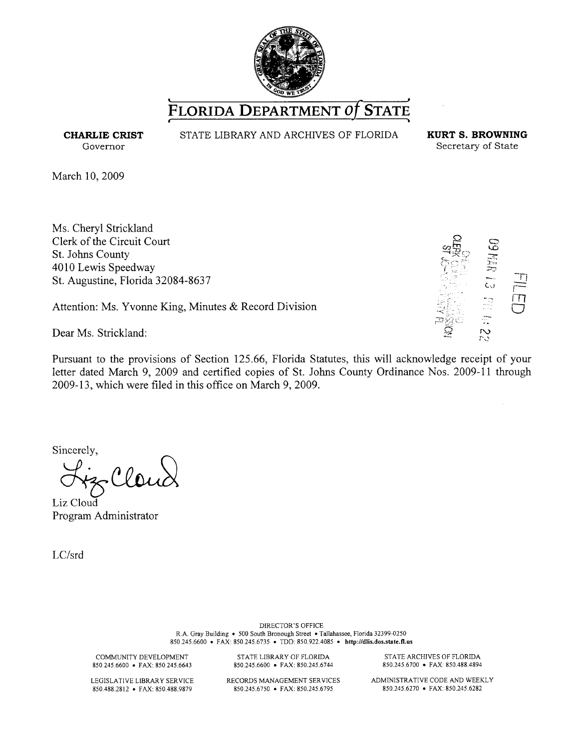

**CHARLIE CRIST**  Governor

STATE LIBRARY AND ARCHIVES OF FLORIDA **KURT S. BROWNING** 

Secretary of State

March 10, 2009

Ms. Cheryl Strickland Clerk of the Circuit Court St. Johns County 4010 Lewis Speedway St. Augustine, Florida 32084-8637

Attention: Ms. Yvonne King, Minutes & Record Division

Dear Ms. Strickland:

Pursuant to the provisions of Section 125.66, Florida Statutes, this will acknowledge receipt of your letter dated March 9, 2009 and certified copies of St. Johns County Ordinance Nos. 2009-11 through 2009-13, which were filed in this office on March 9, 2009.

Sincerely,<br> $\mathcal{L}: (\Omega, \Omega)$ 

Liz Cloud Program Administrator

LC/srd

DIRECTOR'S OFFICE R.A. Gray Building • 500 South Bronough Street •Tallahassee, Florida 32399-0250 850.245.6600 • FAX: 850.245.6735 • TDD: 850.922.4085 • http://dlis.dos.state.fl.us

COMMUNITY DEVELOPMENT 850.245.6600 • FAX: 850.245.6643

LEGISLATIVE LIBRARY SERVICE 850.488.2812 • FAX: 850.488.9879

850.245.6600 • FAX: 850.245.6744 RECORDS MANAGEMENT SERVICES 850.245.6750 • FAX: 850.245.6795

STATE LIBRARY OF FLORIDA

STATE ARCHIVES OF FLORIDA 850.245.6700 • FAX: 850.488.4894

ADMINISTRATIVE CODE AND WEEKLY 850.245.6270 • FAX: 850.245.6282





 $\epsilon$  . ,. *:.-:·? :* .::.::.:\_1; - ' *c. .. )*   $T_1$  $\Box$  $\subset$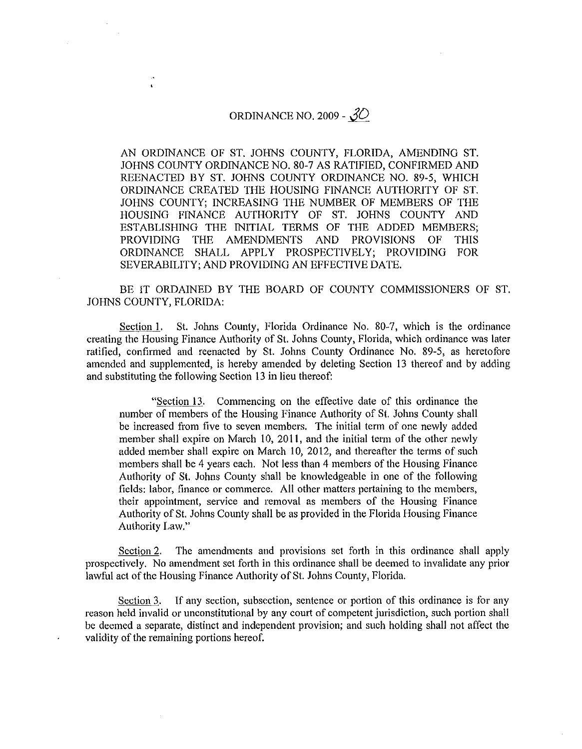#### ORDINANCE NO. 2009 -  $30$

l.

AN ORDINANCE OF ST. JOHNS COUNTY, FLORIDA, AMENDING ST. JOHNS COUNTY ORDINANCE NO. 80-7 AS RATIFIED, CONFIRMED AND REENACTED BY ST. JOHNS COUNTY ORDINANCE NO. 89-5, WHICH ORDINANCE CREATED THE HOUSING FINANCE AUTHORITY OF ST. JOHNS COUNTY; INCREASING THE NUMBER OF MEMBERS OF THE HOUSING FINANCE AUTHORITY OF ST. JOHNS COUNTY AND ESTABLISHING THE INITIAL TERMS OF THE ADDED MEMBERS; PROVIDING THE AMENDMENTS AND PROVISIONS OF THIS ORDINANCE SHALL APPLY PROSPECTIVELY; PROVIDING FOR SEVERABILITY; AND PROVIDING AN EFFECTIVE DATE.

BE IT ORDAINED BY THE BOARD OF COUNTY COMMISSIONERS OF ST. JOHNS COUNTY, FLORIDA:

Section I. St. Johns County, Florida Ordinance No. 80-7, which is the ordinance creating the Housing Finance Authority of St. Johns County, Florida, which ordinance was later ratified, confirmed and reenacted by St. Johns County Ordinance No. 89-5, as heretofore amended and supplemented, is hereby amended by deleting Section 13 thereof and by adding and substituting the following Section 13 in lieu thereof:

"Section 13. Commencing on the effective date of this ordinance the number of members of the Housing Finance Authority of St. Johns County shall be increased from five to seven members. The initial term of one newly added member shall expire on March 10, 2011, and the initial term of the other newly added member shall expire on March 10, 2012, and thereafter the terms of such members shall be 4 years each. Not less than 4 members of the Housing Finance Authority of St. Johns County shall be knowledgeable in one of the following fields: labor, finance or commerce. All other matters pertaining to the members, their appointment, service and removal as members of the Housing Finance Authority of St. Johns County shall be as provided in the Florida Housing Finance Authority Law."

Section 2. The amendments and provisions set forth in this ordinance shall apply prospectively. No amendment set forth in this ordinance shall be deemed to invalidate any prior lawful act of the Housing Finance Authority of St. Johns County, Florida.

Section 3. If any section, subsection, sentence or portion of this ordinance is for any reason held invalid or unconstitutional by any court of competent jurisdiction, such portion shall be deemed a separate, distinct and independent provision; and such holding shall not affect the validity of the remaining portions hereof.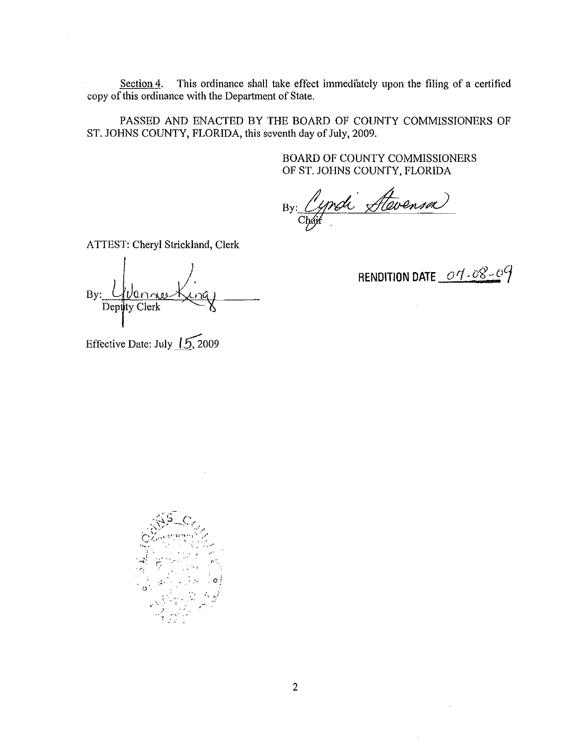Section 4. This ordinance shall take effect immediately upon the filing of a certified copy of this ordinance with the Department of State.

PASSED AND ENACTED BY THE BOARD OF COUNTY COMMISSIONERS OF ST. JOHNS COUNTY, FLORIDA, this seventh day of July, 2009.

> BOARD OF COUNTY COMMISSIONERS OF ST. JOHNS COUNTY, FLORIDA

By: Cyndi Stevensa

ATTEST: Cheryl Strickland, Clerk

 $Bv:$ Deputy Clerk

**RENDITION DATE**  $\underline{\mathcal{O}7}\cdot \overline{\mathcal{O}8}\cdot \overline{\mathcal{O}9}$ 

Effective Date: July  $15,2009$ 

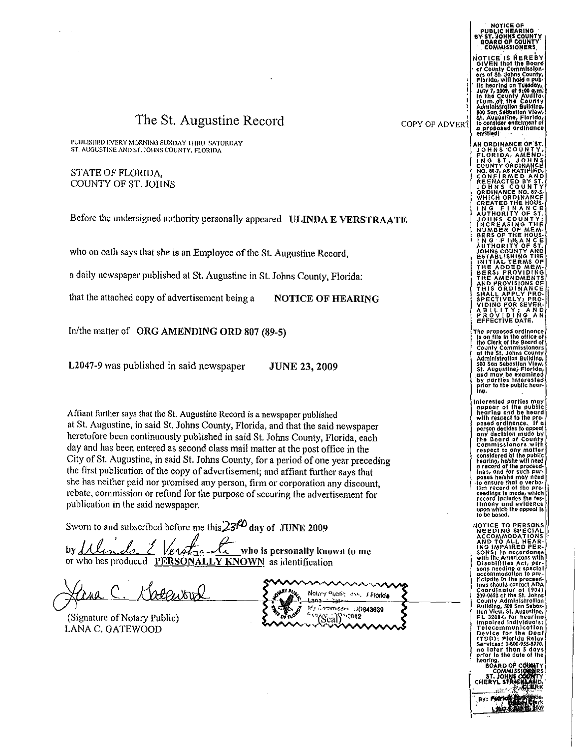### The St. Augustine Record

PUBLISHED EVERY MORNING SUNDAY THRU SATURDAY ST. AIJGLSTINE AND ST. JOHNS COUNTY, FLORIDA

STATE OF FLORIDA, COUNTY OF ST. JOHNS

Before the undersigned authority personally appeared ULINDA E VERSTRAATE

who on oath says that she is an Employee of the St. Augustine Record,

a daily newspaper published at St. Augustine in St. Johns County, Florida:

that the attached copy of advertisement being a NOTICE OF HEARING

In/the matter of ORG AMENDING ORD 807 (89-5)

L2047-9 was published in said newspaper JUNE 23, 2009

Affiant further says that the St. Augustine Record is a newspaper published at St. Augustine, in said St. Johns County, Florida, and tbat the said newspaper heretofore been continuously published in said St. Johns County, Florida, each day and has been entered as second class mail matter at the post office in the City of St. Augustine, in said St. Johns County, for a period of one year preceding the first publication of the copy of advertisement; and affiant further says that she has neither paid nor promised any person, firm or corporation any discount, rebate, commission or refund for the purpose of securing the advertisement for publication in the said newspaper.

Sworn to and subscribed before me this  $23^{k}$  day of JUNE 2009

by <u>Ulenda Elerstranti</u> who is personally known to me or who has produced PERSONALLY KNOWN as identification

Jana C. Morenour

(Signature of Notary Public) LANA C. GATEWOOD

~""'"""""'..,,..,~ ................... ,.,, •. V'I ....... ~ Notary Public, Just. J. Florida مردد Mr. Gammissin, DD843639 v<sup>7</sup>(Seal) 2012

NOTICE OF<br>PUBLIC HEARING<br>BY ST. JOHNS COUNTY BOARD OF COUNTY" · . COMMISSIONERS. NOTICE IS HEREBY<br>GIVEN that the Board<br>of County Commission-<br>ers of St. Johns County,<br>Florida, will hold a pub-<sup>1</sup> ' lie hearing on Tuesday,<br>I July 7, 2009, at 9:00 a.m.;<br>I In the County Audito<br>I Flum<sub>-1</sub>ot the County } | .Administration Building,<br>\* | 300 San Sebastian View,<br>}| .St. Augustine, Florida<sub>(</sub>1 COPY OF ADVER<sup>3</sup> to consider enactment of<br>a proposed ordinance<br>entitled: AN ORDINANCE OF ST JOHNS COUNTY,<br>FLORIDA, AMEND-<br>ING ST. JOHNS<br>COUNTY ORDINANCE NO. 80-7, AS RATIFIED,<br>CONFIRMED AND<br>REENACTED BY ST.<br>JOHNS COUNTY ORDINANCE NO, 89-5, **|**<br>WHICH ORDINANCE<br>CREATED THE HOUS<br>| N\_G\_\_F <u>| N</u> A\_N Ç\_E | NUMBER OF MEM-<br>BERS OF THE HOUS-<br>ING ·FlimANCE<br>ING ·FlimANCE<br>JOHNS COUNTY AND<br>INITIAL-TERMS OF<br>INITIAL-TERMS OF<br>INITIAL-TERMS OF<br>BERS; PROVISIONS OF<br>THE AMENDMENTS<br>THE AMENDMENTS<br>THIS ORDINANCE SHALL APPLY PRO-<br>SPECTIVELYJ PRO-<br>VIDING FOR SEVER-<br>A B 1 L I T Y , A N D<br>EFFECTIVE DATE.<br>EFFECTIVE DATE. The proposed ordinance is on file in the office of<br>the Clerk of the Board of County Commissioners<br>at the St. Johns County<br>Administrotlon Bullding,<br>500 Son Sebastion View,<br>51. Augustlnei-F1orldo,<br>and moy be examined<br>by parties Interested<br>ing. Interested parties MOY appear at the public hearing on'd be heard with respect to the pro-<br>posed ordinance. If a<br>person decides to appeal<br>any decision made by the Board of county Commissioners .with respect to any matter<br>considered bt the public<br>hearing, he/she will need<br>or record of the proceed-<br>ings, ond for such PUP-<br>posss he/she mur-book<br>pur-posss he/she mur-book<br>head PURposes he/she may need<br>the ensure that o verbo-<br>the tim record of the pro-<br>ceedings is mode, which<br>record includes the tes-<br>flmony ond evidence timony and evidence<br>upon which the appeal is<br>to be based. NOTICE TO PERSONS<br>
NEEDING SPECIAL<br>
ACCOMMODATIONS<br>
AND TO ALL HEAP AND TO ALL HEAR-<br>ING IMPAIRED PER-<br>SONS: In accordance<br>with the Americans with<br>Disabilities Act, persons needing a special<br>accommodation to POr-

tlclpdte Jn the proceed- ings should contact ADA Coordinator of (90.4)

209-0650 at the St. Johns.<br>County Administration<br>Building, 500 San Sebos.<br>Hina View, St. Augustine,<br>FL 32084, for hearing<br>impaired Individuals:

Telecammunic Device for the Deal (TDD): Florida Relay Services: 1~800-955-8770, Services: 1:800-95<br>no later than 5<br>prior to the date **BOARD OF COUR** 

COMMISSION

 $\vert$ 

BY: